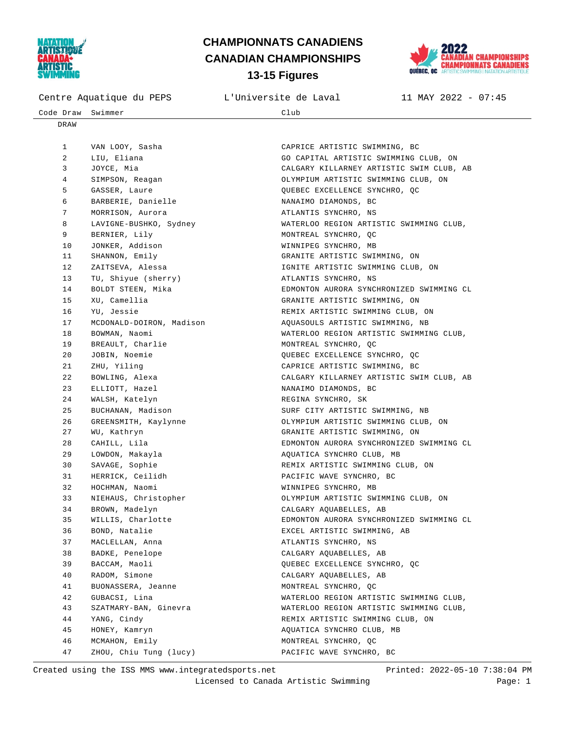



| Centre Aquatique du PEPS |                          | L'Universite de Laval                    | $11$ MAY 2022 - 07:45 |
|--------------------------|--------------------------|------------------------------------------|-----------------------|
| Code Draw                | Swimmer                  | Club                                     |                       |
| DRAW                     |                          |                                          |                       |
|                          |                          |                                          |                       |
| $\mathbf{1}$             | VAN LOOY, Sasha          | CAPRICE ARTISTIC SWIMMING, BC            |                       |
| 2                        | LIU, Eliana              | GO CAPITAL ARTISTIC SWIMMING CLUB, ON    |                       |
| 3                        | JOYCE, Mia               | CALGARY KILLARNEY ARTISTIC SWIM CLUB, AB |                       |
| 4                        | SIMPSON, Reagan          | OLYMPIUM ARTISTIC SWIMMING CLUB, ON      |                       |
| 5                        | GASSER, Laure            | QUEBEC EXCELLENCE SYNCHRO, QC            |                       |
| 6                        | BARBERIE, Danielle       | NANAIMO DIAMONDS, BC                     |                       |
| 7                        | MORRISON, Aurora         | ATLANTIS SYNCHRO, NS                     |                       |
| 8                        | LAVIGNE-BUSHKO, Sydney   | WATERLOO REGION ARTISTIC SWIMMING CLUB,  |                       |
| 9                        | BERNIER, Lily            | MONTREAL SYNCHRO, OC                     |                       |
| 10                       | JONKER, Addison          | WINNIPEG SYNCHRO, MB                     |                       |
| 11                       | SHANNON, Emily           | GRANITE ARTISTIC SWIMMING, ON            |                       |
| 12                       | ZAITSEVA, Alessa         | IGNITE ARTISTIC SWIMMING CLUB, ON        |                       |
| 13                       | TU, Shiyue (sherry)      | ATLANTIS SYNCHRO, NS                     |                       |
| 14                       | BOLDT STEEN, Mika        | EDMONTON AURORA SYNCHRONIZED SWIMMING CL |                       |
| 15                       | XU, Camellia             | GRANITE ARTISTIC SWIMMING, ON            |                       |
| 16                       | YU, Jessie               | REMIX ARTISTIC SWIMMING CLUB, ON         |                       |
| 17                       | MCDONALD-DOIRON, Madison | AQUASOULS ARTISTIC SWIMMING, NB          |                       |
| 18                       | BOWMAN, Naomi            | WATERLOO REGION ARTISTIC SWIMMING CLUB,  |                       |
| 19                       | BREAULT, Charlie         | MONTREAL SYNCHRO, QC                     |                       |
| 20                       | JOBIN, Noemie            | QUEBEC EXCELLENCE SYNCHRO, QC            |                       |
| 21                       | ZHU, Yiling              | CAPRICE ARTISTIC SWIMMING, BC            |                       |
| 22                       | BOWLING, Alexa           | CALGARY KILLARNEY ARTISTIC SWIM CLUB, AB |                       |
| 23                       | ELLIOTT, Hazel           | NANAIMO DIAMONDS, BC                     |                       |
| 24                       | WALSH, Katelyn           | REGINA SYNCHRO, SK                       |                       |
| 25                       | BUCHANAN, Madison        | SURF CITY ARTISTIC SWIMMING, NB          |                       |
| 26                       | GREENSMITH, Kaylynne     | OLYMPIUM ARTISTIC SWIMMING CLUB, ON      |                       |
| 27                       | WU, Kathryn              | GRANITE ARTISTIC SWIMMING, ON            |                       |
| 28                       | CAHILL, Lila             | EDMONTON AURORA SYNCHRONIZED SWIMMING CL |                       |
| 29                       | LOWDON, Makayla          | AQUATICA SYNCHRO CLUB, MB                |                       |
| 30                       | SAVAGE, Sophie           | REMIX ARTISTIC SWIMMING CLUB, ON         |                       |
| 31                       | HERRICK, Ceilidh         | PACIFIC WAVE SYNCHRO, BC                 |                       |
| 32                       | HOCHMAN, Naomi           | WINNIPEG SYNCHRO, MB                     |                       |

33 NIEHAUS, Christopher OLYMPIUM ARTISTIC SWIMMING CLUB, ON

35 WILLIS, Charlotte EDMONTON AURORA SYNCHRONIZED SWIMMING CL

 42 GUBACSI, Lina WATERLOO REGION ARTISTIC SWIMMING CLUB, 43 SZATMARY-BAN, Ginevra WATERLOO REGION ARTISTIC SWIMMING CLUB,

 47 ZHOU, Chiu Tung (lucy) PACIFIC WAVE SYNCHRO, BC Created using the ISS MMS www.integratedsports.net Printed: 2022-05-10 7:38:04 PM

 45 HONEY, Kamryn AQUATICA SYNCHRO CLUB, MB 46 MCMAHON, Emily MONTREAL SYNCHRO, QC

34 BROWN, Madelyn CALGARY AQUABELLES, AB

37 MACLELLAN, Anna **ATLANTIS SYNCHRO**, NS 38 BADKE, Penelope CALGARY AQUABELLES, AB

 40 RADOM, Simone CALGARY AQUABELLES, AB 41 BUONASSERA, Jeanne MONTREAL SYNCHRO, QC

36 BOND, Natalie EXCEL ARTISTIC SWIMMING, AB

39 BACCAM, Maoli QUEBEC EXCELLENCE SYNCHRO, QC

44 YANG, Cindy REMIX ARTISTIC SWIMMING CLUB, ON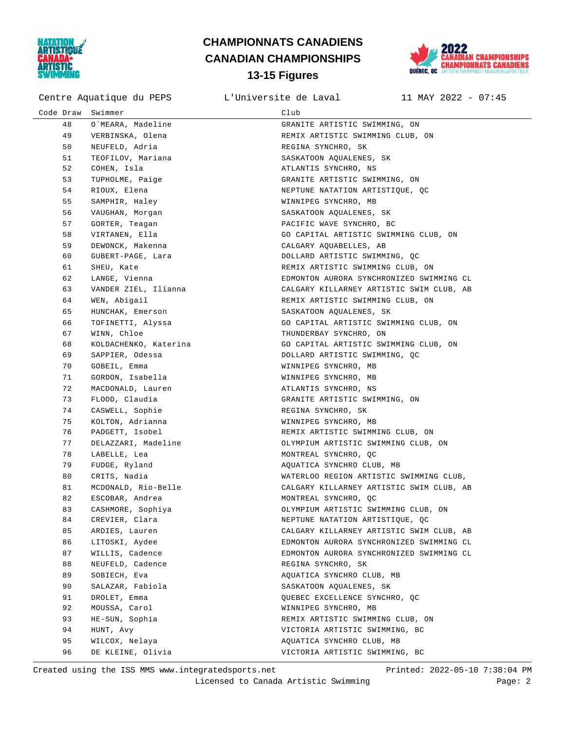



Centre Aquatique du PEPS L'Universite de Laval 11 MAY 2022 - 07:45

| Code Draw | Swimmer               | Club                                     |
|-----------|-----------------------|------------------------------------------|
| 48        | O`MEARA, Madeline     | GRANITE ARTISTIC SWIMMING, ON            |
| 49        | VERBINSKA, Olena      | REMIX ARTISTIC SWIMMING CLUB, ON         |
| 50        | NEUFELD, Adria        | REGINA SYNCHRO, SK                       |
| 51        | TEOFILOV, Mariana     | SASKATOON AOUALENES, SK                  |
| 52        | COHEN, Isla           | ATLANTIS SYNCHRO, NS                     |
| 53        | TUPHOLME, Paige       | GRANITE ARTISTIC SWIMMING, ON            |
| 54        | RIOUX, Elena          | NEPTUNE NATATION ARTISTIQUE, QC          |
| 55        | SAMPHIR, Haley        | WINNIPEG SYNCHRO, MB                     |
| 56        | VAUGHAN, Morgan       | SASKATOON AQUALENES, SK                  |
| 57        | GORTER, Teagan        | PACIFIC WAVE SYNCHRO, BC                 |
| 58        | VIRTANEN, Ella        | GO CAPITAL ARTISTIC SWIMMING CLUB, ON    |
| 59        | DEWONCK, Makenna      | CALGARY AQUABELLES, AB                   |
| 60        | GUBERT-PAGE, Lara     | DOLLARD ARTISTIC SWIMMING, QC            |
| 61        | SHEU, Kate            | REMIX ARTISTIC SWIMMING CLUB, ON         |
| 62        | LANGE, Vienna         | EDMONTON AURORA SYNCHRONIZED SWIMMING CL |
| 63        | VANDER ZIEL, Ilianna  | CALGARY KILLARNEY ARTISTIC SWIM CLUB, AB |
| 64        | WEN, Abigail          | REMIX ARTISTIC SWIMMING CLUB, ON         |
| 65        | HUNCHAK, Emerson      | SASKATOON AQUALENES, SK                  |
| 66        | TOFINETTI, Alyssa     | GO CAPITAL ARTISTIC SWIMMING CLUB, ON    |
| 67        | WINN, Chloe           | THUNDERBAY SYNCHRO, ON                   |
| 68        | KOLDACHENKO, Katerina | GO CAPITAL ARTISTIC SWIMMING CLUB, ON    |
| 69        | SAPPIER, Odessa       | DOLLARD ARTISTIC SWIMMING, QC            |
| 70        | GOBEIL, Emma          | WINNIPEG SYNCHRO, MB                     |
| 71        | GORDON, Isabella      | WINNIPEG SYNCHRO, MB                     |
| 72        | MACDONALD, Lauren     | ATLANTIS SYNCHRO, NS                     |
| 73        | FLOOD, Claudia        | GRANITE ARTISTIC SWIMMING, ON            |
| 74        | CASWELL, Sophie       | REGINA SYNCHRO, SK                       |
| 75        | KOLTON, Adrianna      | WINNIPEG SYNCHRO, MB                     |
| 76        | PADGETT, Isobel       | REMIX ARTISTIC SWIMMING CLUB, ON         |
| 77        | DELAZZARI, Madeline   | OLYMPIUM ARTISTIC SWIMMING CLUB, ON      |
| 78        | LABELLE, Lea          | MONTREAL SYNCHRO, QC                     |
| 79        | FUDGE, Ryland         | AQUATICA SYNCHRO CLUB, MB                |
| 80        | CRITS, Nadia          | WATERLOO REGION ARTISTIC SWIMMING CLUB,  |
| 81        | MCDONALD, Rio-Belle   | CALGARY KILLARNEY ARTISTIC SWIM CLUB, AB |
| 82        | ESCOBAR, Andrea       | MONTREAL SYNCHRO, QC                     |
| 83        | CASHMORE, Sophiya     | OLYMPIUM ARTISTIC SWIMMING CLUB, ON      |
| 84        | CREVIER, Clara        | NEPTUNE NATATION ARTISTIQUE, QC          |
| 85        | ARDIES, Lauren        | CALGARY KILLARNEY ARTISTIC SWIM CLUB, AB |
| 86        | LITOSKI, Aydee        | EDMONTON AURORA SYNCHRONIZED SWIMMING CL |
| 87        | WILLIS, Cadence       | EDMONTON AURORA SYNCHRONIZED SWIMMING CL |
| 88        | NEUFELD, Cadence      | REGINA SYNCHRO, SK                       |
| 89        | SOBIECH, Eva          | AQUATICA SYNCHRO CLUB, MB                |
| 90        | SALAZAR, Fabiola      | SASKATOON AQUALENES, SK                  |
| 91        | DROLET, Emma          | QUEBEC EXCELLENCE SYNCHRO, QC            |
| 92        | MOUSSA, Carol         | WINNIPEG SYNCHRO, MB                     |
| 93        | HE-SUN, Sophia        | REMIX ARTISTIC SWIMMING CLUB, ON         |
| 94        | HUNT, Avy             | VICTORIA ARTISTIC SWIMMING, BC           |
| 95        | WILCOX, Nelaya        | AQUATICA SYNCHRO CLUB, MB                |
| 96        | DE KLEINE, Olivia     | VICTORIA ARTISTIC SWIMMING, BC           |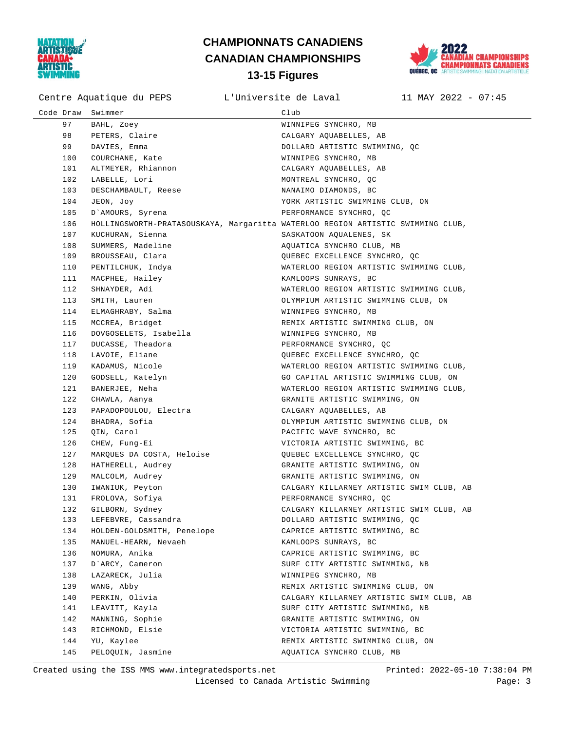



Centre Aquatique du PEPS L'Universite de Laval 11 MAY 2022 - 07:45

| Code Draw | Swimmer                                                                         | Club                                     |
|-----------|---------------------------------------------------------------------------------|------------------------------------------|
| 97        | BAHL, Zoey                                                                      | WINNIPEG SYNCHRO, MB                     |
| 98        | PETERS, Claire                                                                  | CALGARY AQUABELLES, AB                   |
| 99        | DAVIES, Emma                                                                    | DOLLARD ARTISTIC SWIMMING, QC            |
| 100       | COURCHANE, Kate                                                                 | WINNIPEG SYNCHRO, MB                     |
| 101       | ALTMEYER, Rhiannon                                                              | CALGARY AQUABELLES, AB                   |
| 102       | LABELLE, Lori                                                                   | MONTREAL SYNCHRO, QC                     |
| 103       | DESCHAMBAULT, Reese                                                             | NANAIMO DIAMONDS, BC                     |
| 104       | JEON, Joy                                                                       | YORK ARTISTIC SWIMMING CLUB, ON          |
| 105       | D'AMOURS, Syrena                                                                | PERFORMANCE SYNCHRO, OC                  |
| 106       | HOLLINGSWORTH-PRATASOUSKAYA, Margaritta WATERLOO REGION ARTISTIC SWIMMING CLUB, |                                          |
| 107       | KUCHURAN, Sienna                                                                | SASKATOON AQUALENES, SK                  |
| 108       | SUMMERS, Madeline                                                               | AQUATICA SYNCHRO CLUB, MB                |
| 109       | BROUSSEAU, Clara                                                                | QUEBEC EXCELLENCE SYNCHRO, QC            |
| 110       | PENTILCHUK, Indya                                                               | WATERLOO REGION ARTISTIC SWIMMING CLUB,  |
| 111       | MACPHEE, Hailey                                                                 | KAMLOOPS SUNRAYS, BC                     |
| 112       | SHNAYDER, Adi                                                                   | WATERLOO REGION ARTISTIC SWIMMING CLUB,  |
| 113       | SMITH, Lauren                                                                   | OLYMPIUM ARTISTIC SWIMMING CLUB, ON      |
| 114       | ELMAGHRABY, Salma                                                               | WINNIPEG SYNCHRO, MB                     |
| 115       | MCCREA, Bridget                                                                 | REMIX ARTISTIC SWIMMING CLUB, ON         |
| 116       | DOVGOSELETS, Isabella                                                           | WINNIPEG SYNCHRO, MB                     |
| 117       | DUCASSE, Theadora                                                               | PERFORMANCE SYNCHRO, QC                  |
| 118       | LAVOIE, Eliane                                                                  | QUEBEC EXCELLENCE SYNCHRO, QC            |
| 119       | KADAMUS, Nicole                                                                 | WATERLOO REGION ARTISTIC SWIMMING CLUB,  |
| 120       | GODSELL, Katelyn                                                                | GO CAPITAL ARTISTIC SWIMMING CLUB, ON    |
| 121       | BANERJEE, Neha                                                                  | WATERLOO REGION ARTISTIC SWIMMING CLUB,  |
| 122       | CHAWLA, Aanya                                                                   | GRANITE ARTISTIC SWIMMING, ON            |
| 123       | PAPADOPOULOU, Electra                                                           | CALGARY AQUABELLES, AB                   |
| 124       | BHADRA, Sofia                                                                   | OLYMPIUM ARTISTIC SWIMMING CLUB, ON      |
| 125       | QIN, Carol                                                                      | PACIFIC WAVE SYNCHRO, BC                 |
| 126       | CHEW, Fung-Ei                                                                   | VICTORIA ARTISTIC SWIMMING, BC           |
| 127       | MARQUES DA COSTA, Heloise                                                       | QUEBEC EXCELLENCE SYNCHRO, QC            |
| 128       | HATHERELL, Audrey                                                               | GRANITE ARTISTIC SWIMMING, ON            |
| 129       | MALCOLM, Audrey                                                                 | GRANITE ARTISTIC SWIMMING, ON            |
| 130       | IWANIUK, Peyton                                                                 | CALGARY KILLARNEY ARTISTIC SWIM CLUB, AB |
| 131       | FROLOVA, Sofiya                                                                 | PERFORMANCE SYNCHRO, QC                  |
| 132       | GILBORN, Sydney                                                                 | CALGARY KILLARNEY ARTISTIC SWIM CLUB, AB |
| 133       | LEFEBVRE, Cassandra                                                             | DOLLARD ARTISTIC SWIMMING, QC            |
| 134       | HOLDEN-GOLDSMITH, Penelope                                                      | CAPRICE ARTISTIC SWIMMING, BC            |
| 135       | MANUEL-HEARN, Nevaeh                                                            | KAMLOOPS SUNRAYS, BC                     |
| 136       | NOMURA, Anika                                                                   | CAPRICE ARTISTIC SWIMMING, BC            |
| 137       | D'ARCY, Cameron                                                                 | SURF CITY ARTISTIC SWIMMING, NB          |
| 138       | LAZARECK, Julia                                                                 | WINNIPEG SYNCHRO, MB                     |
| 139       | WANG, Abby                                                                      | REMIX ARTISTIC SWIMMING CLUB, ON         |
| 140       | PERKIN, Olivia                                                                  | CALGARY KILLARNEY ARTISTIC SWIM CLUB, AB |
| 141       | LEAVITT, Kayla                                                                  | SURF CITY ARTISTIC SWIMMING, NB          |
| 142       | MANNING, Sophie                                                                 | GRANITE ARTISTIC SWIMMING, ON            |
| 143       | RICHMOND, Elsie                                                                 | VICTORIA ARTISTIC SWIMMING, BC           |
| 144       | YU, Kaylee                                                                      | REMIX ARTISTIC SWIMMING CLUB, ON         |
| 145       | PELOQUIN, Jasmine                                                               | AQUATICA SYNCHRO CLUB, MB                |

Created using the ISS MMS www.integratedsports.net Printed: 2022-05-10 7:38:04 PM

Licensed to Canada Artistic Swimming Page: 3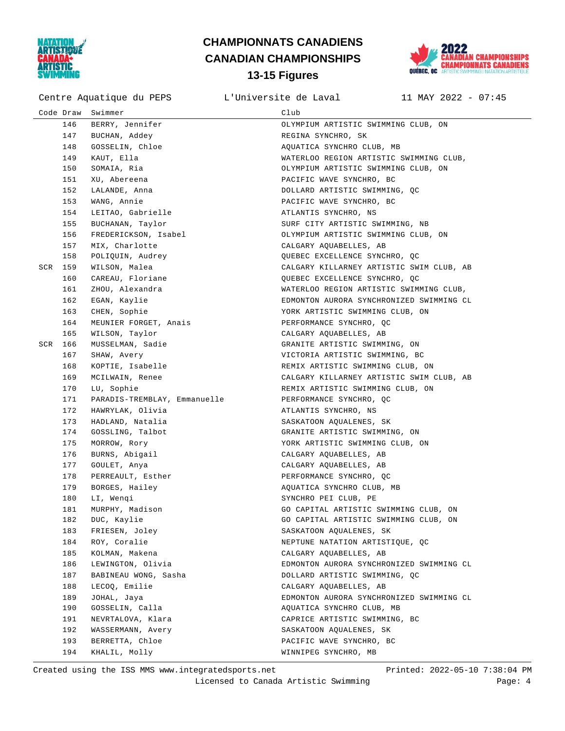



Centre Aquatique du PEPS L'Universite de Laval 11 MAY 2022 - 07:45

|     | Code Draw | Swimmer                      | Club                                     |
|-----|-----------|------------------------------|------------------------------------------|
|     | 146       | BERRY, Jennifer              | OLYMPIUM ARTISTIC SWIMMING CLUB, ON      |
|     | 147       | BUCHAN, Addey                | REGINA SYNCHRO, SK                       |
|     | 148       | GOSSELIN, Chloe              | AQUATICA SYNCHRO CLUB, MB                |
|     | 149       | KAUT, Ella                   | WATERLOO REGION ARTISTIC SWIMMING CLUB,  |
|     | 150       | SOMAIA, Ria                  | OLYMPIUM ARTISTIC SWIMMING CLUB, ON      |
|     | 151       | XU, Abereena                 | PACIFIC WAVE SYNCHRO, BC                 |
|     | 152       | LALANDE, Anna                | DOLLARD ARTISTIC SWIMMING, QC            |
|     | 153       | WANG, Annie                  | PACIFIC WAVE SYNCHRO, BC                 |
|     | 154       | LEITAO, Gabrielle            | ATLANTIS SYNCHRO, NS                     |
|     | 155       | BUCHANAN, Taylor             | SURF CITY ARTISTIC SWIMMING, NB          |
|     | 156       | FREDERICKSON, Isabel         | OLYMPIUM ARTISTIC SWIMMING CLUB, ON      |
|     | 157       | MIX, Charlotte               | CALGARY AQUABELLES, AB                   |
|     | 158       | POLIQUIN, Audrey             | QUEBEC EXCELLENCE SYNCHRO, QC            |
| SCR | 159       | WILSON, Malea                | CALGARY KILLARNEY ARTISTIC SWIM CLUB, AB |
|     | 160       | CAREAU, Floriane             | QUEBEC EXCELLENCE SYNCHRO, QC            |
|     | 161       | ZHOU, Alexandra              | WATERLOO REGION ARTISTIC SWIMMING CLUB,  |
|     | 162       | EGAN, Kaylie                 | EDMONTON AURORA SYNCHRONIZED SWIMMING CL |
|     | 163       | CHEN, Sophie                 | YORK ARTISTIC SWIMMING CLUB, ON          |
|     | 164       | MEUNIER FORGET, Anais        | PERFORMANCE SYNCHRO, QC                  |
|     | 165       | WILSON, Taylor               | CALGARY AQUABELLES, AB                   |
| SCR | 166       | MUSSELMAN, Sadie             | GRANITE ARTISTIC SWIMMING, ON            |
|     | 167       | SHAW, Avery                  | VICTORIA ARTISTIC SWIMMING, BC           |
|     | 168       | KOPTIE, Isabelle             | REMIX ARTISTIC SWIMMING CLUB, ON         |
|     | 169       | MCILWAIN, Renee              | CALGARY KILLARNEY ARTISTIC SWIM CLUB, AB |
|     | 170       | LU, Sophie                   | REMIX ARTISTIC SWIMMING CLUB, ON         |
|     | 171       | PARADIS-TREMBLAY, Emmanuelle | PERFORMANCE SYNCHRO, QC                  |
|     | 172       | HAWRYLAK, Olivia             | ATLANTIS SYNCHRO, NS                     |
|     | 173       | HADLAND, Natalia             | SASKATOON AQUALENES, SK                  |
|     | 174       | GOSSLING, Talbot             | GRANITE ARTISTIC SWIMMING, ON            |
|     | 175       | MORROW, Rory                 | YORK ARTISTIC SWIMMING CLUB, ON          |
|     | 176       | BURNS, Abigail               | CALGARY AQUABELLES, AB                   |
|     | 177       | GOULET, Anya                 | CALGARY AQUABELLES, AB                   |
|     | 178       | PERREAULT, Esther            | PERFORMANCE SYNCHRO, QC                  |
|     | 179       | BORGES, Hailey               | AQUATICA SYNCHRO CLUB, MB                |
|     | 180       | LI, Wengi                    | SYNCHRO PEI CLUB, PE                     |
|     | 181       | MURPHY, Madison              | GO CAPITAL ARTISTIC SWIMMING CLUB, ON    |
|     | 182       | DUC, Kaylie                  | GO CAPITAL ARTISTIC SWIMMING CLUB, ON    |
|     | 183       | FRIESEN, Joley               | SASKATOON AQUALENES, SK                  |
|     | 184       | ROY, Coralie                 | NEPTUNE NATATION ARTISTIOUE, OC          |
|     | 185       | KOLMAN, Makena               | CALGARY AOUABELLES, AB                   |
|     | 186       | LEWINGTON, Olivia            | EDMONTON AURORA SYNCHRONIZED SWIMMING CL |
|     | 187       | BABINEAU WONG, Sasha         | DOLLARD ARTISTIC SWIMMING, QC            |
|     | 188       | LECOQ, Emilie                | CALGARY AQUABELLES, AB                   |
|     | 189       | JOHAL, Jaya                  | EDMONTON AURORA SYNCHRONIZED SWIMMING CL |
|     | 190       | GOSSELIN, Calla              | AQUATICA SYNCHRO CLUB, MB                |
|     | 191       | NEVRTALOVA, Klara            | CAPRICE ARTISTIC SWIMMING, BC            |
|     | 192       | WASSERMANN, Avery            | SASKATOON AOUALENES, SK                  |
|     | 193       | BERRETTA, Chloe              | PACIFIC WAVE SYNCHRO, BC                 |
|     | 194       | KHALIL, Molly                | WINNIPEG SYNCHRO, MB                     |

Created using the ISS MMS www.integratedsports.net Printed: 2022-05-10 7:38:04 PM